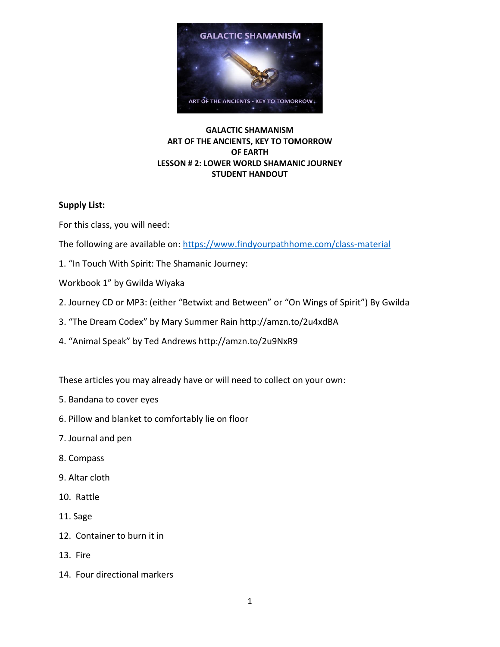

# **GALACTIC SHAMANISM ART OF THE ANCIENTS, KEY TO TOMORROW OF EARTH LESSON # 2: LOWER WORLD SHAMANIC JOURNEY STUDENT HANDOUT**

# **Supply List:**

For this class, you will need:

The following are available on:<https://www.findyourpathhome.com/class-material>

- 1. "In Touch With Spirit: The Shamanic Journey:
- Workbook 1" by Gwilda Wiyaka
- 2. Journey CD or MP3: (either "Betwixt and Between" or "On Wings of Spirit") By Gwilda
- 3. "The Dream Codex" by Mary Summer Rain http://amzn.to/2u4xdBA
- 4. "Animal Speak" by Ted Andrews http://amzn.to/2u9NxR9

These articles you may already have or will need to collect on your own:

- 5. Bandana to cover eyes
- 6. Pillow and blanket to comfortably lie on floor
- 7. Journal and pen
- 8. Compass
- 9. Altar cloth
- 10. Rattle
- 11. Sage
- 12. Container to burn it in
- 13. Fire
- 14. Four directional markers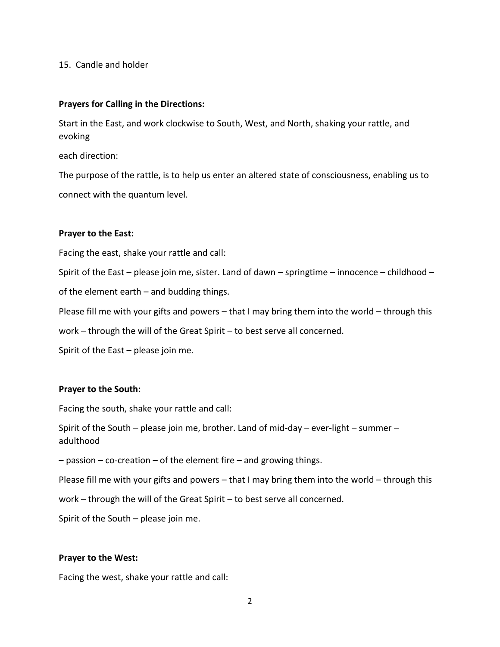### 15. Candle and holder

### **Prayers for Calling in the Directions:**

Start in the East, and work clockwise to South, West, and North, shaking your rattle, and evoking

each direction:

The purpose of the rattle, is to help us enter an altered state of consciousness, enabling us to connect with the quantum level.

### **Prayer to the East:**

Facing the east, shake your rattle and call:

Spirit of the East – please join me, sister. Land of dawn – springtime – innocence – childhood –

of the element earth – and budding things.

Please fill me with your gifts and powers – that I may bring them into the world – through this

work – through the will of the Great Spirit – to best serve all concerned.

Spirit of the East – please join me.

# **Prayer to the South:**

Facing the south, shake your rattle and call:

Spirit of the South – please join me, brother. Land of mid-day – ever-light – summer – adulthood

 $-$  passion – co-creation – of the element fire – and growing things.

Please fill me with your gifts and powers – that I may bring them into the world – through this

work – through the will of the Great Spirit – to best serve all concerned.

Spirit of the South – please join me.

### **Prayer to the West:**

Facing the west, shake your rattle and call: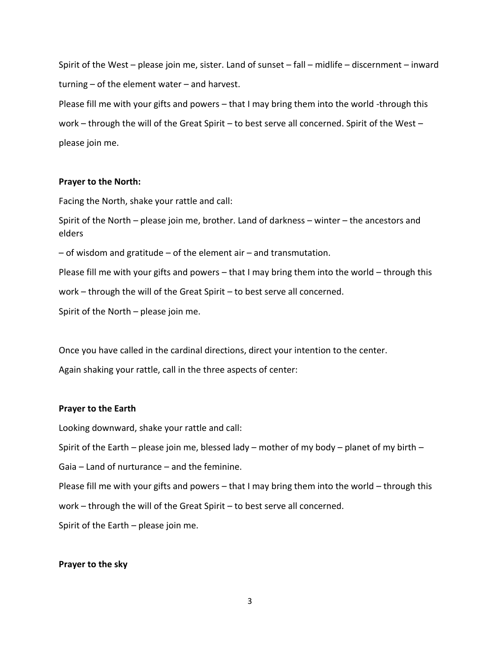Spirit of the West – please join me, sister. Land of sunset – fall – midlife – discernment – inward turning – of the element water – and harvest.

Please fill me with your gifts and powers – that I may bring them into the world -through this work – through the will of the Great Spirit – to best serve all concerned. Spirit of the West – please join me.

### **Prayer to the North:**

Facing the North, shake your rattle and call:

Spirit of the North – please join me, brother. Land of darkness – winter – the ancestors and elders

 $-$  of wisdom and gratitude  $-$  of the element air  $-$  and transmutation.

Please fill me with your gifts and powers – that I may bring them into the world – through this

work – through the will of the Great Spirit – to best serve all concerned.

Spirit of the North – please join me.

Once you have called in the cardinal directions, direct your intention to the center.

Again shaking your rattle, call in the three aspects of center:

### **Prayer to the Earth**

Looking downward, shake your rattle and call:

Spirit of the Earth – please join me, blessed lady – mother of my body – planet of my birth –

Gaia – Land of nurturance – and the feminine.

Please fill me with your gifts and powers – that I may bring them into the world – through this

work – through the will of the Great Spirit – to best serve all concerned.

Spirit of the Earth – please join me.

#### **Prayer to the sky**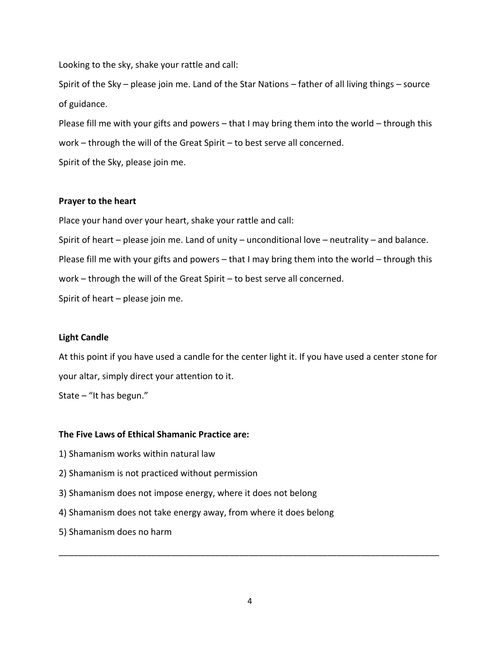Looking to the sky, shake your rattle and call:

Spirit of the Sky – please join me. Land of the Star Nations – father of all living things – source of guidance.

Please fill me with your gifts and powers – that I may bring them into the world – through this work – through the will of the Great Spirit – to best serve all concerned.

Spirit of the Sky, please join me.

### **Prayer to the heart**

Place your hand over your heart, shake your rattle and call:

Spirit of heart – please join me. Land of unity – unconditional love – neutrality – and balance. Please fill me with your gifts and powers – that I may bring them into the world – through this work – through the will of the Great Spirit – to best serve all concerned. Spirit of heart – please join me.

# **Light Candle**

At this point if you have used a candle for the center light it. If you have used a center stone for your altar, simply direct your attention to it.

State – "It has begun."

# **The Five Laws of Ethical Shamanic Practice are:**

- 1) Shamanism works within natural law
- 2) Shamanism is not practiced without permission
- 3) Shamanism does not impose energy, where it does not belong
- 4) Shamanism does not take energy away, from where it does belong
- 5) Shamanism does no harm

\_\_\_\_\_\_\_\_\_\_\_\_\_\_\_\_\_\_\_\_\_\_\_\_\_\_\_\_\_\_\_\_\_\_\_\_\_\_\_\_\_\_\_\_\_\_\_\_\_\_\_\_\_\_\_\_\_\_\_\_\_\_\_\_\_\_\_\_\_\_\_\_\_\_\_\_\_\_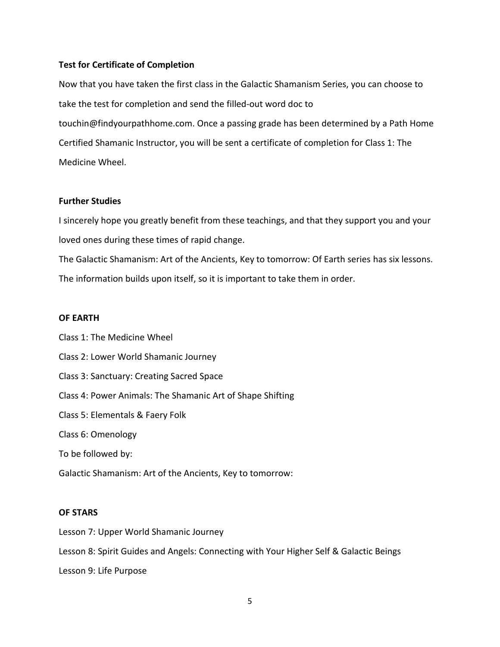### **Test for Certificate of Completion**

Now that you have taken the first class in the Galactic Shamanism Series, you can choose to take the test for completion and send the filled-out word doc to touchin@findyourpathhome.com. Once a passing grade has been determined by a Path Home Certified Shamanic Instructor, you will be sent a certificate of completion for Class 1: The Medicine Wheel.

### **Further Studies**

I sincerely hope you greatly benefit from these teachings, and that they support you and your loved ones during these times of rapid change.

The Galactic Shamanism: Art of the Ancients, Key to tomorrow: Of Earth series has six lessons. The information builds upon itself, so it is important to take them in order.

#### **OF EARTH**

Class 1: The Medicine Wheel Class 2: Lower World Shamanic Journey Class 3: Sanctuary: Creating Sacred Space Class 4: Power Animals: The Shamanic Art of Shape Shifting Class 5: Elementals & Faery Folk Class 6: Omenology To be followed by: Galactic Shamanism: Art of the Ancients, Key to tomorrow:

### **OF STARS**

Lesson 7: Upper World Shamanic Journey Lesson 8: Spirit Guides and Angels: Connecting with Your Higher Self & Galactic Beings Lesson 9: Life Purpose